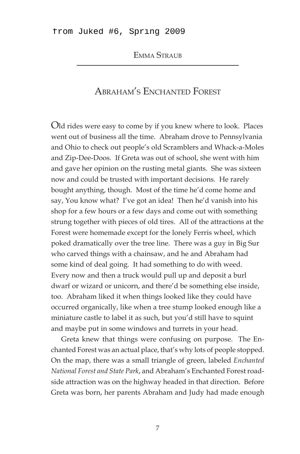EMMA STRAUB

## ABRAHAM'S ENCHANTED FOREST

Old rides were easy to come by if you knew where to look. Places went out of business all the time. Abraham drove to Pennsylvania and Ohio to check out people's old Scramblers and Whack-a-Moles and Zip-Dee-Doos. If Greta was out of school, she went with him and gave her opinion on the rusting metal giants. She was sixteen now and could be trusted with important decisions. He rarely bought anything, though. Most of the time he'd come home and say, You know what? I've got an idea! Then he'd vanish into his shop for a few hours or a few days and come out with something strung together with pieces of old tires. All of the attractions at the Forest were homemade except for the lonely Ferris wheel, which poked dramatically over the tree line. There was a guy in Big Sur who carved things with a chainsaw, and he and Abraham had some kind of deal going. It had something to do with weed. Every now and then a truck would pull up and deposit a burl dwarf or wizard or unicorn, and there'd be something else inside, too. Abraham liked it when things looked like they could have occurred organically, like when a tree stump looked enough like a miniature castle to label it as such, but you'd still have to squint and maybe put in some windows and turrets in your head.

Greta knew that things were confusing on purpose. The Enchanted Forest was an actual place, that's why lots of people stopped. On the map, there was a small triangle of green, labeled *Enchanted National Forest and State Park*, and Abraham's Enchanted Forest roadside attraction was on the highway headed in that direction. Before Greta was born, her parents Abraham and Judy had made enough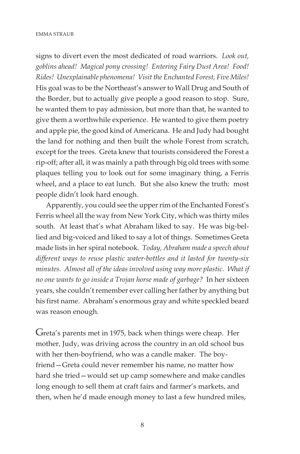signs to divert even the most dedicated of road warriors. *Look out, goblins ahead! Magical pony crossing! Entering Fairy Dust Area! Food! Rides! Unexplainable phenomena! Visit the Enchanted Forest, Five Miles!* His goal was to be the Northeast's answer to Wall Drug and South of the Border, but to actually give people a good reason to stop. Sure, he wanted them to pay admission, but more than that, he wanted to give them a worthwhile experience. He wanted to give them poetry and apple pie, the good kind of Americana. He and Judy had bought the land for nothing and then built the whole Forest from scratch, except for the trees. Greta knew that tourists considered the Forest a rip-off; after all, it was mainly a path through big old trees with some plaques telling you to look out for some imaginary thing, a Ferris wheel, and a place to eat lunch. But she also knew the truth: most people didn't look hard enough.

Apparently, you could see the upper rim of the Enchanted Forest's Ferris wheel all the way from New York City, which was thirty miles south. At least that's what Abraham liked to say. He was big-bellied and big-voiced and liked to say a lot of things. Sometimes Greta made lists in her spiral notebook. *Today, Abraham made a speech about different ways to reuse plastic water-bottles and it lasted for twenty-six minutes. Almost all of the ideas involved using way more plastic. What if no one wants to go inside a Trojan horse made of garbage?* In her sixteen years, she couldn't remember ever calling her father by anything but his first name. Abraham's enormous gray and white speckled beard was reason enough.

Greta's parents met in 1975, back when things were cheap. Her mother, Judy, was driving across the country in an old school bus with her then-boyfriend, who was a candle maker. The boyfriend—Greta could never remember his name, no matter how hard she tried—would set up camp somewhere and make candles long enough to sell them at craft fairs and farmer's markets, and then, when he'd made enough money to last a few hundred miles,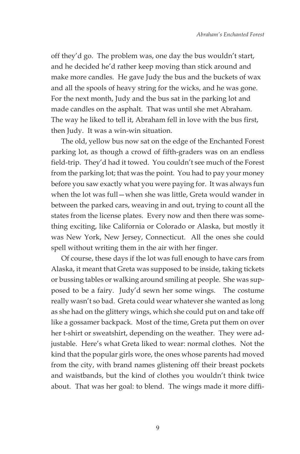off they'd go. The problem was, one day the bus wouldn't start, and he decided he'd rather keep moving than stick around and make more candles. He gave Judy the bus and the buckets of wax and all the spools of heavy string for the wicks, and he was gone. For the next month, Judy and the bus sat in the parking lot and made candles on the asphalt. That was until she met Abraham. The way he liked to tell it, Abraham fell in love with the bus first, then Judy. It was a win-win situation.

The old, yellow bus now sat on the edge of the Enchanted Forest parking lot, as though a crowd of fifth-graders was on an endless field-trip. They'd had it towed. You couldn't see much of the Forest from the parking lot; that was the point. You had to pay your money before you saw exactly what you were paying for. It was always fun when the lot was full—when she was little, Greta would wander in between the parked cars, weaving in and out, trying to count all the states from the license plates. Every now and then there was something exciting, like California or Colorado or Alaska, but mostly it was New York, New Jersey, Connecticut. All the ones she could spell without writing them in the air with her finger.

Of course, these days if the lot was full enough to have cars from Alaska, it meant that Greta was supposed to be inside, taking tickets or bussing tables or walking around smiling at people. She was supposed to be a fairy. Judy'd sewn her some wings. The costume really wasn't so bad. Greta could wear whatever she wanted as long as she had on the glittery wings, which she could put on and take off like a gossamer backpack. Most of the time, Greta put them on over her t-shirt or sweatshirt, depending on the weather. They were adjustable. Here's what Greta liked to wear: normal clothes. Not the kind that the popular girls wore, the ones whose parents had moved from the city, with brand names glistening off their breast pockets and waistbands, but the kind of clothes you wouldn't think twice about. That was her goal: to blend. The wings made it more diffi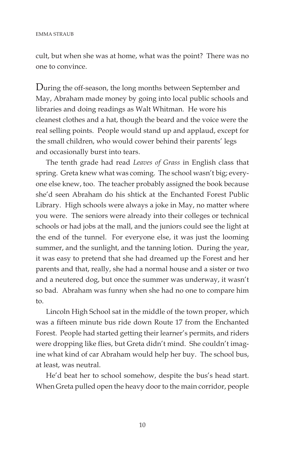cult, but when she was at home, what was the point? There was no one to convince.

During the off-season, the long months between September and May, Abraham made money by going into local public schools and libraries and doing readings as Walt Whitman. He wore his cleanest clothes and a hat, though the beard and the voice were the real selling points. People would stand up and applaud, except for the small children, who would cower behind their parents' legs and occasionally burst into tears.

The tenth grade had read *Leaves of Grass* in English class that spring. Greta knew what was coming. The school wasn't big; everyone else knew, too. The teacher probably assigned the book because she'd seen Abraham do his shtick at the Enchanted Forest Public Library. High schools were always a joke in May, no matter where you were. The seniors were already into their colleges or technical schools or had jobs at the mall, and the juniors could see the light at the end of the tunnel. For everyone else, it was just the looming summer, and the sunlight, and the tanning lotion. During the year, it was easy to pretend that she had dreamed up the Forest and her parents and that, really, she had a normal house and a sister or two and a neutered dog, but once the summer was underway, it wasn't so bad. Abraham was funny when she had no one to compare him to.

Lincoln High School sat in the middle of the town proper, which was a fifteen minute bus ride down Route 17 from the Enchanted Forest. People had started getting their learner's permits, and riders were dropping like flies, but Greta didn't mind. She couldn't imagine what kind of car Abraham would help her buy. The school bus, at least, was neutral.

He'd beat her to school somehow, despite the bus's head start. When Greta pulled open the heavy door to the main corridor, people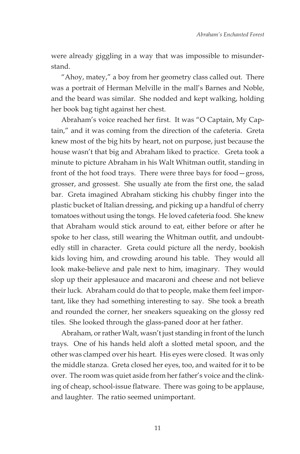were already giggling in a way that was impossible to misunderstand.

"Ahoy, matey," a boy from her geometry class called out. There was a portrait of Herman Melville in the mall's Barnes and Noble, and the beard was similar. She nodded and kept walking, holding her book bag tight against her chest.

Abraham's voice reached her first. It was "O Captain, My Captain," and it was coming from the direction of the cafeteria. Greta knew most of the big hits by heart, not on purpose, just because the house wasn't that big and Abraham liked to practice. Greta took a minute to picture Abraham in his Walt Whitman outfit, standing in front of the hot food trays. There were three bays for food—gross, grosser, and grossest. She usually ate from the first one, the salad bar. Greta imagined Abraham sticking his chubby finger into the plastic bucket of Italian dressing, and picking up a handful of cherry tomatoes without using the tongs. He loved cafeteria food. She knew that Abraham would stick around to eat, either before or after he spoke to her class, still wearing the Whitman outfit, and undoubtedly still in character. Greta could picture all the nerdy, bookish kids loving him, and crowding around his table. They would all look make-believe and pale next to him, imaginary. They would slop up their applesauce and macaroni and cheese and not believe their luck. Abraham could do that to people, make them feel important, like they had something interesting to say. She took a breath and rounded the corner, her sneakers squeaking on the glossy red tiles. She looked through the glass-paned door at her father.

Abraham, or rather Walt, wasn't just standing in front of the lunch trays. One of his hands held aloft a slotted metal spoon, and the other was clamped over his heart. His eyes were closed. It was only the middle stanza. Greta closed her eyes, too, and waited for it to be over. The room was quiet aside from her father's voice and the clinking of cheap, school-issue flatware. There was going to be applause, and laughter. The ratio seemed unimportant.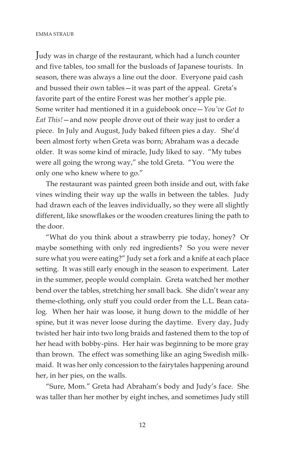Judy was in charge of the restaurant, which had a lunch counter and five tables, too small for the busloads of Japanese tourists. In season, there was always a line out the door. Everyone paid cash and bussed their own tables—it was part of the appeal. Greta's favorite part of the entire Forest was her mother's apple pie. Some writer had mentioned it in a guidebook once—*You've Got to Eat This!*—and now people drove out of their way just to order a piece. In July and August, Judy baked fifteen pies a day. She'd been almost forty when Greta was born; Abraham was a decade older. It was some kind of miracle, Judy liked to say. "My tubes were all going the wrong way," she told Greta. "You were the only one who knew where to go."

The restaurant was painted green both inside and out, with fake vines winding their way up the walls in between the tables. Judy had drawn each of the leaves individually, so they were all slightly different, like snowflakes or the wooden creatures lining the path to the door.

"What do you think about a strawberry pie today, honey? Or maybe something with only red ingredients? So you were never sure what you were eating?" Judy set a fork and a knife at each place setting. It was still early enough in the season to experiment. Later in the summer, people would complain. Greta watched her mother bend over the tables, stretching her small back. She didn't wear any theme-clothing, only stuff you could order from the L.L. Bean catalog. When her hair was loose, it hung down to the middle of her spine, but it was never loose during the daytime. Every day, Judy twisted her hair into two long braids and fastened them to the top of her head with bobby-pins. Her hair was beginning to be more gray than brown. The effect was something like an aging Swedish milkmaid. It was her only concession to the fairytales happening around her, in her pies, on the walls.

"Sure, Mom." Greta had Abraham's body and Judy's face. She was taller than her mother by eight inches, and sometimes Judy still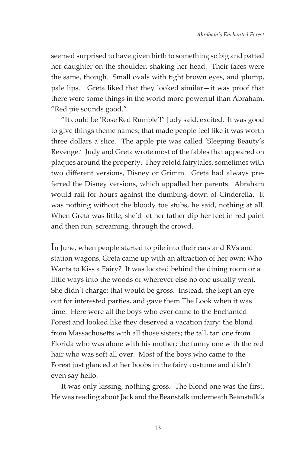seemed surprised to have given birth to something so big and patted her daughter on the shoulder, shaking her head. Their faces were the same, though. Small ovals with tight brown eyes, and plump, pale lips. Greta liked that they looked similar—it was proof that there were some things in the world more powerful than Abraham. "Red pie sounds good."

"It could be 'Rose Red Rumble'!" Judy said, excited. It was good to give things theme names; that made people feel like it was worth three dollars a slice. The apple pie was called 'Sleeping Beauty's Revenge.' Judy and Greta wrote most of the fables that appeared on plaques around the property. They retold fairytales, sometimes with two different versions, Disney or Grimm. Greta had always preferred the Disney versions, which appalled her parents. Abraham would rail for hours against the dumbing-down of Cinderella. It was nothing without the bloody toe stubs, he said, nothing at all. When Greta was little, she'd let her father dip her feet in red paint and then run, screaming, through the crowd.

In June, when people started to pile into their cars and RVs and station wagons, Greta came up with an attraction of her own: Who Wants to Kiss a Fairy? It was located behind the dining room or a little ways into the woods or wherever else no one usually went. She didn't charge; that would be gross. Instead, she kept an eye out for interested parties, and gave them The Look when it was time. Here were all the boys who ever came to the Enchanted Forest and looked like they deserved a vacation fairy: the blond from Massachusetts with all those sisters; the tall, tan one from Florida who was alone with his mother; the funny one with the red hair who was soft all over. Most of the boys who came to the Forest just glanced at her boobs in the fairy costume and didn't even say hello.

It was only kissing, nothing gross. The blond one was the first. He was reading about Jack and the Beanstalk underneath Beanstalk's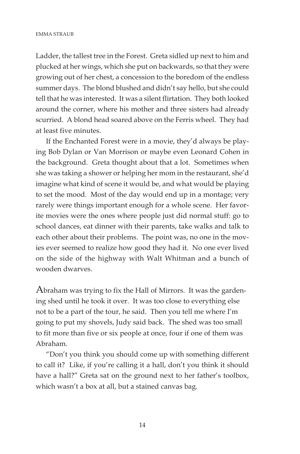## EMMA STRAUB

Ladder, the tallest tree in the Forest. Greta sidled up next to him and plucked at her wings, which she put on backwards, so that they were growing out of her chest, a concession to the boredom of the endless summer days. The blond blushed and didn't say hello, but she could tell that he was interested. It was a silent flirtation. They both looked around the corner, where his mother and three sisters had already scurried. A blond head soared above on the Ferris wheel. They had at least five minutes.

If the Enchanted Forest were in a movie, they'd always be playing Bob Dylan or Van Morrison or maybe even Leonard Cohen in the background. Greta thought about that a lot. Sometimes when she was taking a shower or helping her mom in the restaurant, she'd imagine what kind of scene it would be, and what would be playing to set the mood. Most of the day would end up in a montage; very rarely were things important enough for a whole scene. Her favorite movies were the ones where people just did normal stuff: go to school dances, eat dinner with their parents, take walks and talk to each other about their problems. The point was, no one in the movies ever seemed to realize how good they had it. No one ever lived on the side of the highway with Walt Whitman and a bunch of wooden dwarves.

Abraham was trying to fix the Hall of Mirrors. It was the gardening shed until he took it over. It was too close to everything else not to be a part of the tour, he said. Then you tell me where I'm going to put my shovels, Judy said back. The shed was too small to fit more than five or six people at once, four if one of them was Abraham.

"Don't you think you should come up with something different to call it? Like, if you're calling it a hall, don't you think it should have a hall?" Greta sat on the ground next to her father's toolbox, which wasn't a box at all, but a stained canvas bag.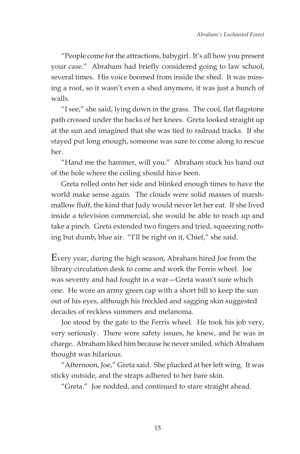"People come for the attractions, babygirl. It's all how you present your case." Abraham had briefly considered going to law school, several times. His voice boomed from inside the shed. It was missing a roof, so it wasn't even a shed anymore, it was just a bunch of walls.

"I see," she said, lying down in the grass. The cool, flat flagstone path crossed under the backs of her knees. Greta looked straight up at the sun and imagined that she was tied to railroad tracks. If she stayed put long enough, someone was sure to come along to rescue her.

"Hand me the hammer, will you." Abraham stuck his hand out of the hole where the ceiling should have been.

Greta rolled onto her side and blinked enough times to have the world make sense again. The clouds were solid masses of marshmallow fluff, the kind that Judy would never let her eat. If she lived inside a television commercial, she would be able to reach up and take a pinch. Greta extended two fingers and tried, squeezing nothing but dumb, blue air. "I'll be right on it, Chief," she said.

Every year, during the high season, Abraham hired Joe from the library circulation desk to come and work the Ferris wheel. Joe was seventy and had fought in a war—Greta wasn't sure which one. He wore an army green cap with a short bill to keep the sun out of his eyes, although his freckled and sagging skin suggested decades of reckless summers and melanoma.

Joe stood by the gate to the Ferris wheel. He took his job very, very seriously. There were safety issues, he knew, and he was in charge. Abraham liked him because he never smiled, which Abraham thought was hilarious.

"Afternoon, Joe," Greta said. She plucked at her left wing. It was sticky outside, and the straps adhered to her bare skin.

"Greta." Joe nodded, and continued to stare straight ahead.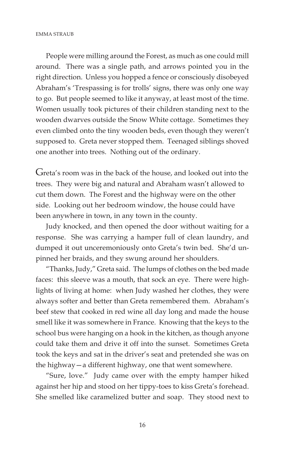People were milling around the Forest, as much as one could mill around. There was a single path, and arrows pointed you in the right direction. Unless you hopped a fence or consciously disobeyed Abraham's 'Trespassing is for trolls' signs, there was only one way to go. But people seemed to like it anyway, at least most of the time. Women usually took pictures of their children standing next to the wooden dwarves outside the Snow White cottage. Sometimes they even climbed onto the tiny wooden beds, even though they weren't supposed to. Greta never stopped them. Teenaged siblings shoved one another into trees. Nothing out of the ordinary.

Greta's room was in the back of the house, and looked out into the trees. They were big and natural and Abraham wasn't allowed to cut them down. The Forest and the highway were on the other side. Looking out her bedroom window, the house could have been anywhere in town, in any town in the county.

Judy knocked, and then opened the door without waiting for a response. She was carrying a hamper full of clean laundry, and dumped it out unceremoniously onto Greta's twin bed. She'd unpinned her braids, and they swung around her shoulders.

"Thanks, Judy," Greta said. The lumps of clothes on the bed made faces: this sleeve was a mouth, that sock an eye. There were highlights of living at home: when Judy washed her clothes, they were always softer and better than Greta remembered them. Abraham's beef stew that cooked in red wine all day long and made the house smell like it was somewhere in France. Knowing that the keys to the school bus were hanging on a hook in the kitchen, as though anyone could take them and drive it off into the sunset. Sometimes Greta took the keys and sat in the driver's seat and pretended she was on the highway—a different highway, one that went somewhere.

"Sure, love." Judy came over with the empty hamper hiked against her hip and stood on her tippy-toes to kiss Greta's forehead. She smelled like caramelized butter and soap. They stood next to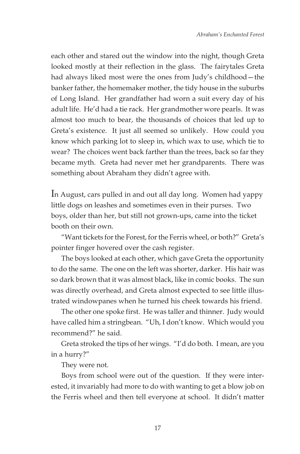each other and stared out the window into the night, though Greta looked mostly at their reflection in the glass. The fairytales Greta had always liked most were the ones from Judy's childhood—the banker father, the homemaker mother, the tidy house in the suburbs of Long Island. Her grandfather had worn a suit every day of his adult life. He'd had a tie rack. Her grandmother wore pearls. It was almost too much to bear, the thousands of choices that led up to Greta's existence. It just all seemed so unlikely. How could you know which parking lot to sleep in, which wax to use, which tie to wear? The choices went back farther than the trees, back so far they became myth. Greta had never met her grandparents. There was something about Abraham they didn't agree with.

In August, cars pulled in and out all day long. Women had yappy little dogs on leashes and sometimes even in their purses. Two boys, older than her, but still not grown-ups, came into the ticket booth on their own.

"Want tickets for the Forest, for the Ferris wheel, or both?" Greta's pointer finger hovered over the cash register.

The boys looked at each other, which gave Greta the opportunity to do the same. The one on the left was shorter, darker. His hair was so dark brown that it was almost black, like in comic books. The sun was directly overhead, and Greta almost expected to see little illustrated windowpanes when he turned his cheek towards his friend.

The other one spoke first. He was taller and thinner. Judy would have called him a stringbean. "Uh, I don't know. Which would you recommend?" he said.

Greta stroked the tips of her wings. "I'd do both. I mean, are you in a hurry?"

They were not.

Boys from school were out of the question. If they were interested, it invariably had more to do with wanting to get a blow job on the Ferris wheel and then tell everyone at school. It didn't matter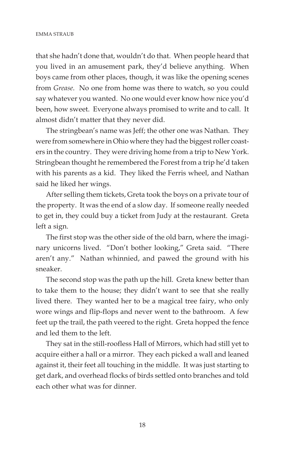that she hadn't done that, wouldn't do that. When people heard that you lived in an amusement park, they'd believe anything. When boys came from other places, though, it was like the opening scenes from *Grease*. No one from home was there to watch, so you could say whatever you wanted. No one would ever know how nice you'd been, how sweet. Everyone always promised to write and to call. It almost didn't matter that they never did.

The stringbean's name was Jeff; the other one was Nathan. They were from somewhere in Ohio where they had the biggest roller coasters in the country. They were driving home from a trip to New York. Stringbean thought he remembered the Forest from a trip he'd taken with his parents as a kid. They liked the Ferris wheel, and Nathan said he liked her wings.

After selling them tickets, Greta took the boys on a private tour of the property. It was the end of a slow day. If someone really needed to get in, they could buy a ticket from Judy at the restaurant. Greta left a sign.

The first stop was the other side of the old barn, where the imaginary unicorns lived. "Don't bother looking," Greta said. "There aren't any." Nathan whinnied, and pawed the ground with his sneaker.

The second stop was the path up the hill. Greta knew better than to take them to the house; they didn't want to see that she really lived there. They wanted her to be a magical tree fairy, who only wore wings and flip-flops and never went to the bathroom. A few feet up the trail, the path veered to the right. Greta hopped the fence and led them to the left.

They sat in the still-roofless Hall of Mirrors, which had still yet to acquire either a hall or a mirror. They each picked a wall and leaned against it, their feet all touching in the middle. It was just starting to get dark, and overhead flocks of birds settled onto branches and told each other what was for dinner.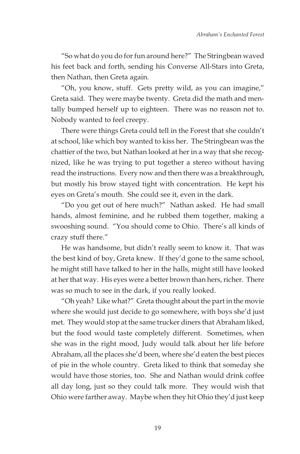"So what do you do for fun around here?" The Stringbean waved his feet back and forth, sending his Converse All-Stars into Greta, then Nathan, then Greta again.

"Oh, you know, stuff. Gets pretty wild, as you can imagine," Greta said. They were maybe twenty. Greta did the math and mentally bumped herself up to eighteen. There was no reason not to. Nobody wanted to feel creepy.

There were things Greta could tell in the Forest that she couldn't at school, like which boy wanted to kiss her. The Stringbean was the chattier of the two, but Nathan looked at her in a way that she recognized, like he was trying to put together a stereo without having read the instructions. Every now and then there was a breakthrough, but mostly his brow stayed tight with concentration. He kept his eyes on Greta's mouth. She could see it, even in the dark.

"Do you get out of here much?" Nathan asked. He had small hands, almost feminine, and he rubbed them together, making a swooshing sound. "You should come to Ohio. There's all kinds of crazy stuff there."

He was handsome, but didn't really seem to know it. That was the best kind of boy, Greta knew. If they'd gone to the same school, he might still have talked to her in the halls, might still have looked at her that way. His eyes were a better brown than hers, richer. There was so much to see in the dark, if you really looked.

"Oh yeah? Like what?" Greta thought about the part in the movie where she would just decide to go somewhere, with boys she'd just met. They would stop at the same trucker diners that Abraham liked, but the food would taste completely different. Sometimes, when she was in the right mood, Judy would talk about her life before Abraham, all the places she'd been, where she'd eaten the best pieces of pie in the whole country. Greta liked to think that someday she would have those stories, too. She and Nathan would drink coffee all day long, just so they could talk more. They would wish that Ohio were farther away. Maybe when they hit Ohio they'd just keep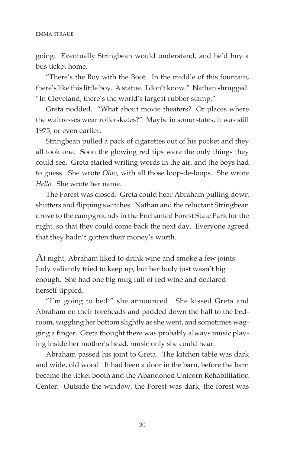going. Eventually Stringbean would understand, and he'd buy a bus ticket home.

"There's the Boy with the Boot. In the middle of this fountain, there's like this little boy. A statue. I don't know." Nathan shrugged. "In Cleveland, there's the world's largest rubber stamp."

Greta nodded. "What about movie theaters? Or places where the waitresses wear rollerskates?" Maybe in some states, it was still 1975, or even earlier.

Stringbean pulled a pack of cigarettes out of his pocket and they all took one. Soon the glowing red tips were the only things they could see. Greta started writing words in the air, and the boys had to guess. She wrote *Ohio*, with all those loop-de-loops. She wrote *Hello.* She wrote her name.

The Forest was closed. Greta could hear Abraham pulling down shutters and flipping switches. Nathan and the reluctant Stringbean drove to the campgrounds in the Enchanted Forest State Park for the night, so that they could come back the next day. Everyone agreed that they hadn't gotten their money's worth.

At night, Abraham liked to drink wine and smoke a few joints. Judy valiantly tried to keep up, but her body just wasn't big enough. She had one big mug full of red wine and declared herself tippled.

"I'm going to bed!" she announced. She kissed Greta and Abraham on their foreheads and padded down the hall to the bedroom, wiggling her bottom slightly as she went, and sometimes wagging a finger. Greta thought there was probably always music playing inside her mother's head, music only she could hear.

Abraham passed his joint to Greta. The kitchen table was dark and wide, old wood. It had been a door in the barn, before the barn became the ticket booth and the Abandoned Unicorn Rehabilitation Center. Outside the window, the Forest was dark, the forest was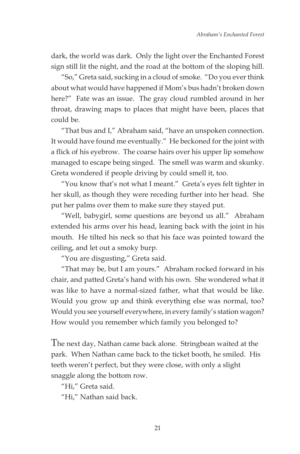dark, the world was dark. Only the light over the Enchanted Forest sign still lit the night, and the road at the bottom of the sloping hill.

"So," Greta said, sucking in a cloud of smoke. "Do you ever think about what would have happened if Mom's bus hadn't broken down here?" Fate was an issue. The gray cloud rumbled around in her throat, drawing maps to places that might have been, places that could be.

"That bus and I," Abraham said, "have an unspoken connection. It would have found me eventually." He beckoned for the joint with a flick of his eyebrow. The coarse hairs over his upper lip somehow managed to escape being singed. The smell was warm and skunky. Greta wondered if people driving by could smell it, too.

"You know that's not what I meant." Greta's eyes felt tighter in her skull, as though they were receding further into her head. She put her palms over them to make sure they stayed put.

"Well, babygirl, some questions are beyond us all." Abraham extended his arms over his head, leaning back with the joint in his mouth. He tilted his neck so that his face was pointed toward the ceiling, and let out a smoky burp.

"You are disgusting," Greta said.

"That may be, but I am yours." Abraham rocked forward in his chair, and patted Greta's hand with his own. She wondered what it was like to have a normal-sized father, what that would be like. Would you grow up and think everything else was normal, too? Would you see yourself everywhere, in every family's station wagon? How would you remember which family you belonged to?

The next day, Nathan came back alone. Stringbean waited at the park. When Nathan came back to the ticket booth, he smiled. His teeth weren't perfect, but they were close, with only a slight snaggle along the bottom row.

"Hi," Greta said.

"Hi," Nathan said back.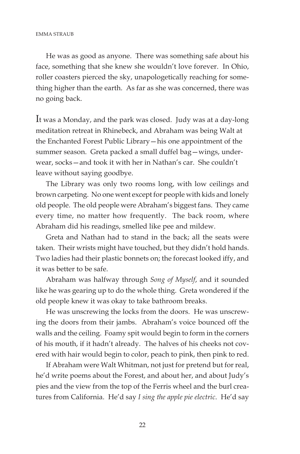He was as good as anyone. There was something safe about his face, something that she knew she wouldn't love forever. In Ohio, roller coasters pierced the sky, unapologetically reaching for something higher than the earth. As far as she was concerned, there was no going back.

It was a Monday, and the park was closed. Judy was at a day-long meditation retreat in Rhinebeck, and Abraham was being Walt at the Enchanted Forest Public Library—his one appointment of the summer season. Greta packed a small duffel bag—wings, underwear, socks—and took it with her in Nathan's car. She couldn't leave without saying goodbye.

The Library was only two rooms long, with low ceilings and brown carpeting. No one went except for people with kids and lonely old people. The old people were Abraham's biggest fans. They came every time, no matter how frequently. The back room, where Abraham did his readings, smelled like pee and mildew.

Greta and Nathan had to stand in the back; all the seats were taken. Their wrists might have touched, but they didn't hold hands. Two ladies had their plastic bonnets on; the forecast looked iffy, and it was better to be safe.

Abraham was halfway through *Song of Myself*, and it sounded like he was gearing up to do the whole thing. Greta wondered if the old people knew it was okay to take bathroom breaks.

He was unscrewing the locks from the doors. He was unscrewing the doors from their jambs. Abraham's voice bounced off the walls and the ceiling. Foamy spit would begin to form in the corners of his mouth, if it hadn't already. The halves of his cheeks not covered with hair would begin to color, peach to pink, then pink to red.

If Abraham were Walt Whitman, not just for pretend but for real, he'd write poems about the Forest, and about her, and about Judy's pies and the view from the top of the Ferris wheel and the burl creatures from California. He'd say *I sing the apple pie electric*. He'd say